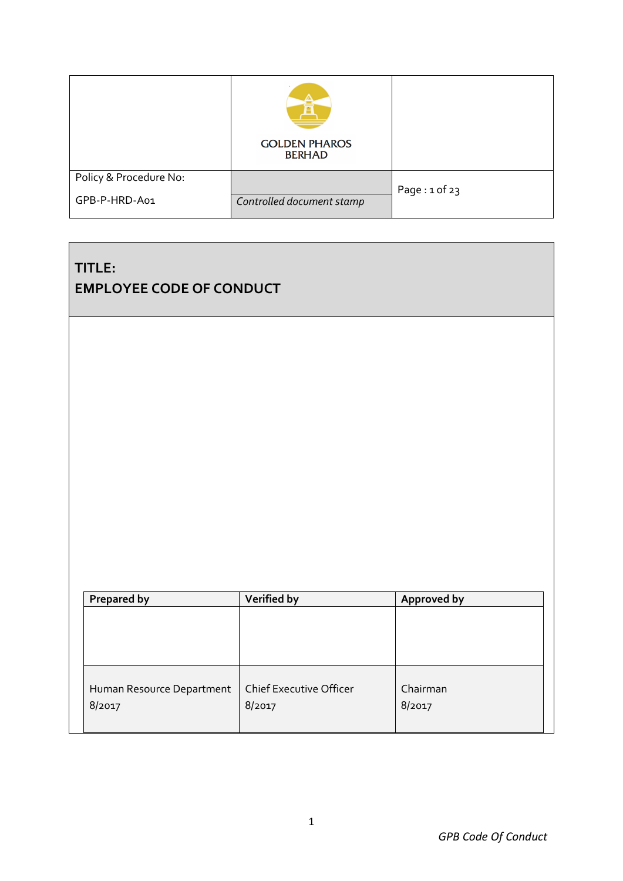|                        | <b>GOLDEN PHAROS</b><br><b>BERHAD</b> |                   |
|------------------------|---------------------------------------|-------------------|
| Policy & Procedure No: |                                       | Page: $1$ of $23$ |
| GPB-P-HRD-A01          | Controlled document stamp             |                   |

# **TITLE: EMPLOYEE CODE OF CONDUCT**

| <b>Prepared by</b>        | Verified by                    | Approved by |
|---------------------------|--------------------------------|-------------|
|                           |                                |             |
|                           |                                |             |
|                           |                                |             |
|                           |                                |             |
| Human Resource Department | <b>Chief Executive Officer</b> | Chairman    |
| 8/2017                    | 8/2017                         | 8/2017      |
|                           |                                |             |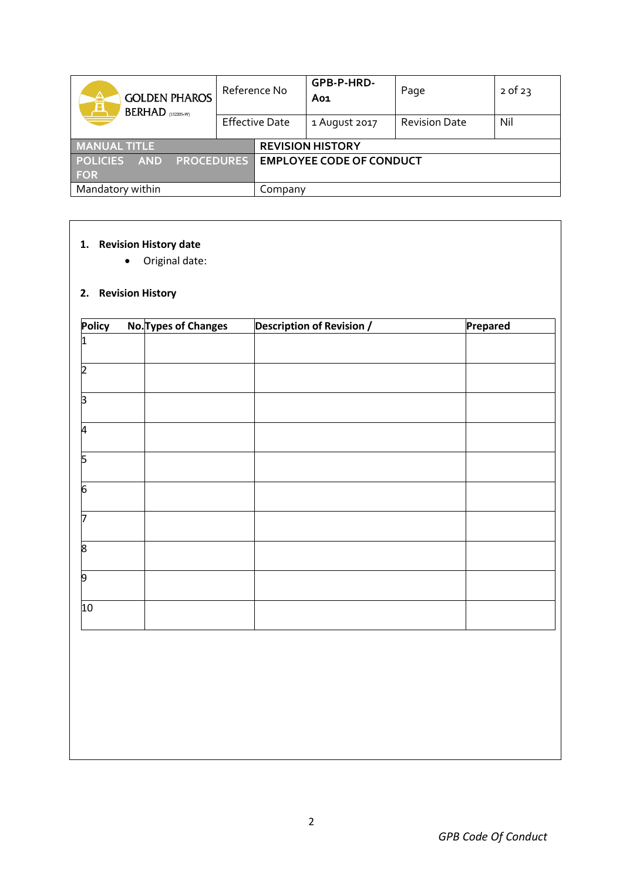| <b>GOLDEN PHAROS</b><br>Â<br>$BERHAD$ (152205-W)   | Reference No          |  | GPB-P-HRD-<br>Ao1               | Page                 | $2$ of $23$ |
|----------------------------------------------------|-----------------------|--|---------------------------------|----------------------|-------------|
|                                                    | <b>Effective Date</b> |  | 1 August 2017                   | <b>Revision Date</b> | Nil         |
| <b>MANUAL TITLE</b>                                |                       |  | <b>REVISION HISTORY</b>         |                      |             |
| <b>PROCEDURES</b><br><b>POLICIES</b><br><b>AND</b> |                       |  | <b>EMPLOYEE CODE OF CONDUCT</b> |                      |             |
| <b>FOR</b>                                         |                       |  |                                 |                      |             |
| Mandatory within                                   | Company               |  |                                 |                      |             |

## **1. Revision History date**

Original date:

# **2. Revision History**

| <b>Policy</b> | <b>No. Types of Changes</b> | <b>Description of Revision /</b> | Prepared |
|---------------|-----------------------------|----------------------------------|----------|
|               |                             |                                  |          |
| つ             |                             |                                  |          |
| З             |                             |                                  |          |
| 4             |                             |                                  |          |
| 5             |                             |                                  |          |
| 6             |                             |                                  |          |
|               |                             |                                  |          |
| 8             |                             |                                  |          |
| 9             |                             |                                  |          |
| 10            |                             |                                  |          |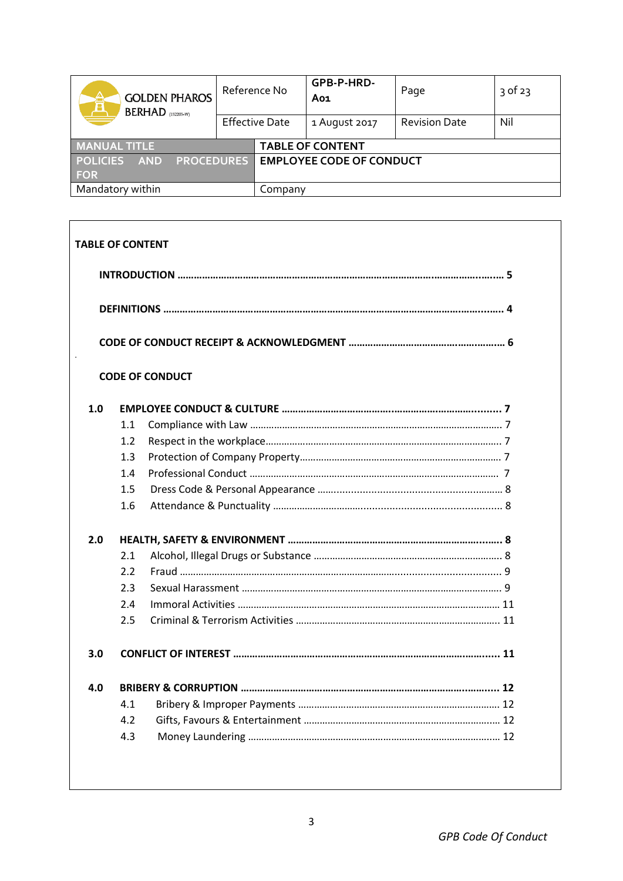| â<br><b>GOLDEN PHAROS</b><br>$BERHAD$ (152205-W)   | Reference No          |  | GPB-P-HRD-<br>Ao1               | Page                 | $3$ of 23 |
|----------------------------------------------------|-----------------------|--|---------------------------------|----------------------|-----------|
|                                                    | <b>Effective Date</b> |  | 1 August 2017                   | <b>Revision Date</b> | Nil       |
| <b>MANUAL TITLE</b>                                |                       |  | <b>TABLE OF CONTENT</b>         |                      |           |
| <b>PROCEDURES</b><br><b>POLICIES</b><br><b>AND</b> |                       |  | <b>EMPLOYEE CODE OF CONDUCT</b> |                      |           |
| <b>FOR</b>                                         |                       |  |                                 |                      |           |
| Mandatory within                                   | Company               |  |                                 |                      |           |

| <b>TABLE OF CONTENT</b> |     |                        |  |  |  |  |  |  |
|-------------------------|-----|------------------------|--|--|--|--|--|--|
|                         |     |                        |  |  |  |  |  |  |
|                         |     |                        |  |  |  |  |  |  |
|                         |     |                        |  |  |  |  |  |  |
|                         |     | <b>CODE OF CONDUCT</b> |  |  |  |  |  |  |
| 1.0                     |     |                        |  |  |  |  |  |  |
|                         | 1.1 |                        |  |  |  |  |  |  |
|                         | 1.2 |                        |  |  |  |  |  |  |
|                         | 1.3 |                        |  |  |  |  |  |  |
|                         | 1.4 |                        |  |  |  |  |  |  |
|                         | 1.5 |                        |  |  |  |  |  |  |
|                         | 1.6 |                        |  |  |  |  |  |  |
| 2.0                     |     |                        |  |  |  |  |  |  |
|                         | 2.1 |                        |  |  |  |  |  |  |
|                         | 2.2 |                        |  |  |  |  |  |  |
|                         | 2.3 |                        |  |  |  |  |  |  |
|                         | 2.4 |                        |  |  |  |  |  |  |
|                         | 2.5 |                        |  |  |  |  |  |  |
| 3.0                     |     |                        |  |  |  |  |  |  |
| 4.0                     |     |                        |  |  |  |  |  |  |
|                         | 4.1 |                        |  |  |  |  |  |  |
|                         | 4.2 |                        |  |  |  |  |  |  |
|                         | 4.3 |                        |  |  |  |  |  |  |
|                         |     |                        |  |  |  |  |  |  |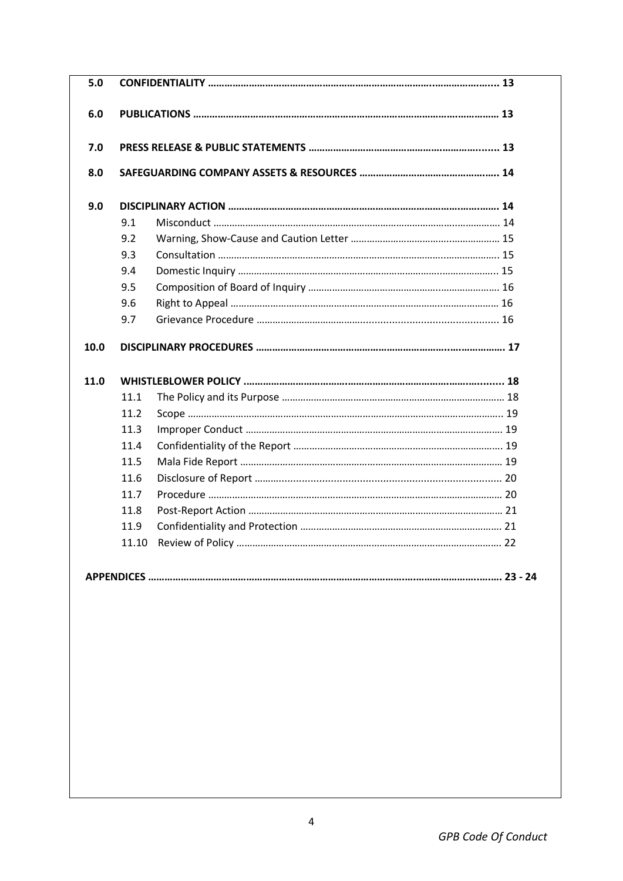| 5.0  |      |  |
|------|------|--|
| 6.0  |      |  |
| 7.0  |      |  |
| 8.0  |      |  |
| 9.0  |      |  |
|      | 9.1  |  |
|      | 9.2  |  |
|      | 9.3  |  |
|      | 9.4  |  |
|      | 9.5  |  |
|      | 9.6  |  |
|      | 9.7  |  |
| 10.0 |      |  |
| 11.0 |      |  |
|      | 11.1 |  |
|      | 11.2 |  |
|      | 11.3 |  |
|      | 11.4 |  |
|      | 11.5 |  |
|      | 11.6 |  |
|      | 11.7 |  |
|      | 11.8 |  |
|      | 11.9 |  |
|      |      |  |
|      |      |  |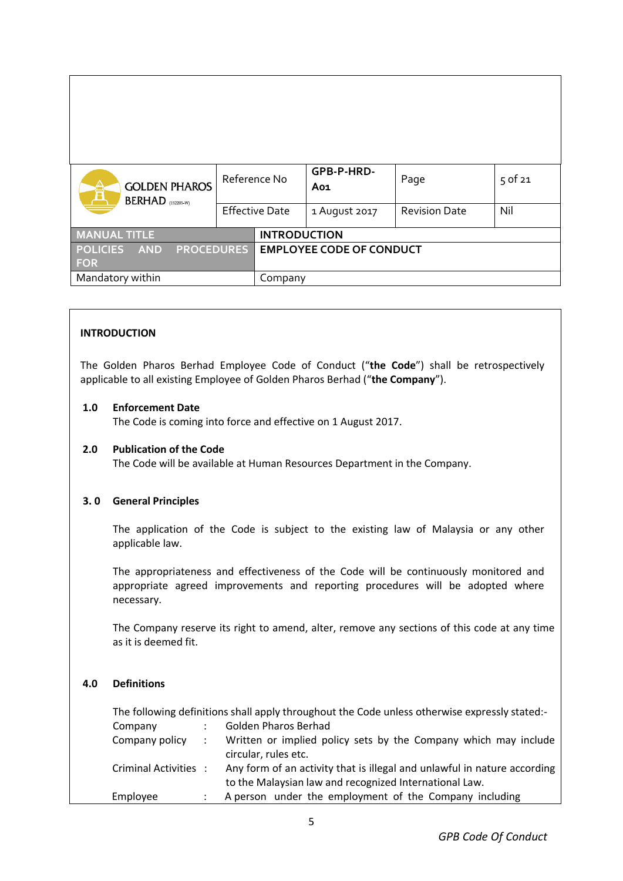| Â<br><b>GOLDEN PHAROS</b><br>BERHAD (152205-W)                   | Reference No          |                                 | GPB-P-HRD-<br>Ao1 | Page                 | $5$ of 21 |
|------------------------------------------------------------------|-----------------------|---------------------------------|-------------------|----------------------|-----------|
|                                                                  | <b>Effective Date</b> |                                 | 1 August 2017     | <b>Revision Date</b> | Nil       |
| <b>MANUAL TITLE</b>                                              |                       | <b>INTRODUCTION</b>             |                   |                      |           |
| <b>PROCEDURES</b><br><b>POLICIES</b><br><b>AND</b><br><b>FOR</b> |                       | <b>EMPLOYEE CODE OF CONDUCT</b> |                   |                      |           |
| Mandatory within                                                 | Company               |                                 |                   |                      |           |

### **INTRODUCTION**

The Golden Pharos Berhad Employee Code of Conduct ("**the Code**") shall be retrospectively applicable to all existing Employee of Golden Pharos Berhad ("**the Company**").

### **1.0 Enforcement Date**

The Code is coming into force and effective on 1 August 2017.

### **2.0 Publication of the Code**

The Code will be available at Human Resources Department in the Company.

### **3. 0 General Principles**

The application of the Code is subject to the existing law of Malaysia or any other applicable law.

The appropriateness and effectiveness of the Code will be continuously monitored and appropriate agreed improvements and reporting procedures will be adopted where necessary.

The Company reserve its right to amend, alter, remove any sections of this code at any time as it is deemed fit.

## **4.0 Definitions**

|                       | The following definitions shall apply throughout the Code unless otherwise expressly stated:- |
|-----------------------|-----------------------------------------------------------------------------------------------|
| Company               | Golden Pharos Berhad                                                                          |
| Company policy :      | Written or implied policy sets by the Company which may include                               |
|                       | circular, rules etc.                                                                          |
| Criminal Activities : | Any form of an activity that is illegal and unlawful in nature according                      |
|                       | to the Malaysian law and recognized International Law.                                        |
| Employee              | A person under the employment of the Company including                                        |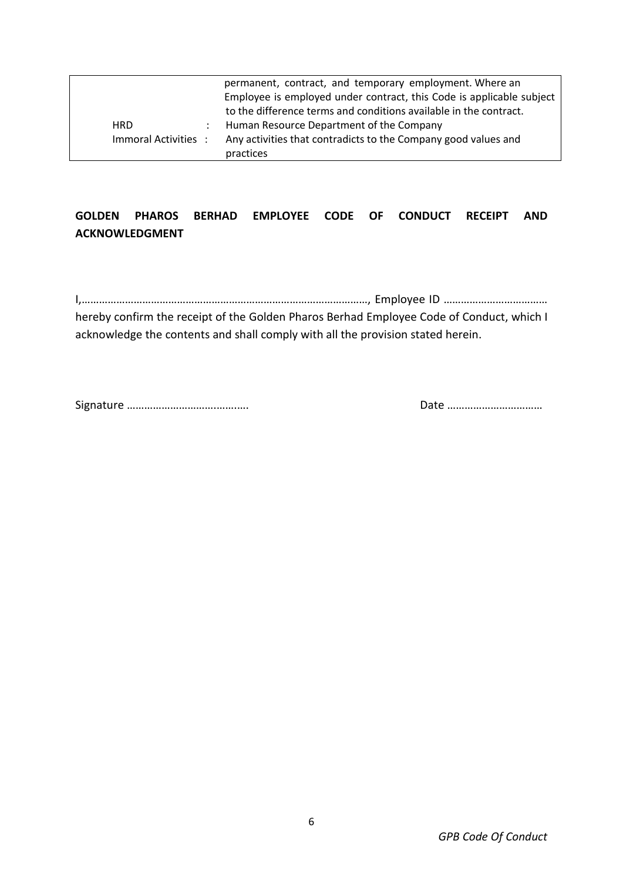|                     | permanent, contract, and temporary employment. Where an              |
|---------------------|----------------------------------------------------------------------|
|                     | Employee is employed under contract, this Code is applicable subject |
|                     | to the difference terms and conditions available in the contract.    |
| <b>HRD</b>          | Human Resource Department of the Company                             |
| Immoral Activities: | Any activities that contradicts to the Company good values and       |
|                     | practices                                                            |

# **GOLDEN PHAROS BERHAD EMPLOYEE CODE OF CONDUCT RECEIPT AND ACKNOWLEDGMENT**

I,………………………………………………………………………………………, Employee ID ……………………………… hereby confirm the receipt of the Golden Pharos Berhad Employee Code of Conduct, which I acknowledge the contents and shall comply with all the provision stated herein.

Signature ………………………….…….…. Date ……………………………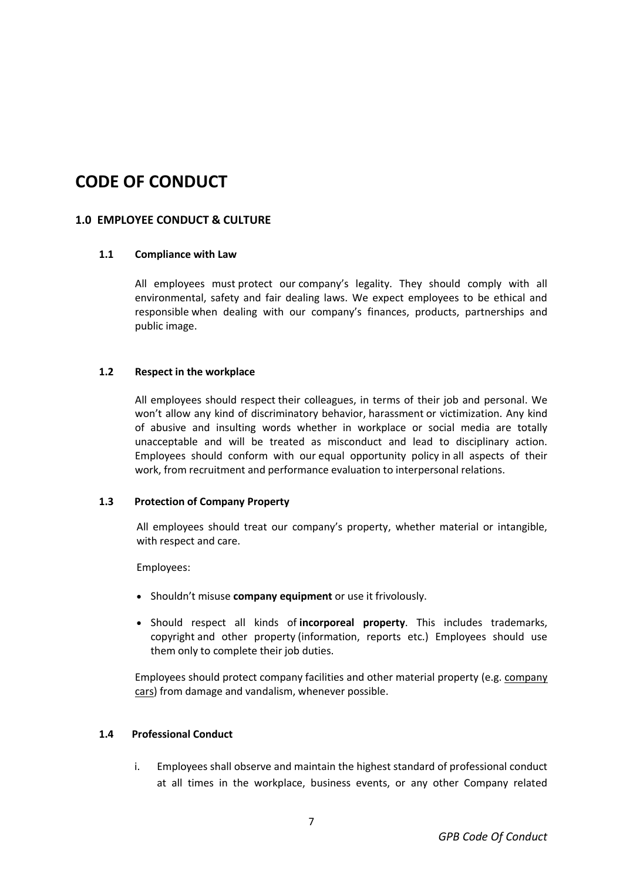# **CODE OF CONDUCT**

## **1.0 EMPLOYEE CONDUCT & CULTURE**

### **1.1 Compliance with Law**

All employees must protect our company's legality. They should comply with all environmental, safety and fair dealing laws. We expect employees to be ethical and responsible when dealing with our company's finances, products, partnerships and public image.

### **1.2 Respect in the workplace**

All employees should respect their colleagues, in terms of their job and personal. We won't allow any kind of discriminatory behavior, [harassment](https://resources.workable.com/workplace-harassment-company-policy) or victimization. Any kind of abusive and insulting words whether in workplace or social media are totally unacceptable and will be treated as misconduct and lead to disciplinary action. Employees should conform with our [equal opportunity policy](https://resources.workable.com/equal-opportunity-company-policy) in all aspects of their work, from recruitment and performance evaluation to interpersonal relations.

### **1.3 Protection of Company Property**

All employees should treat our company's property, whether material or intangible, with respect and care.

Employees:

- Shouldn't misuse **company equipment** or use it frivolously.
- Should respect all kinds of **incorporeal property**. This includes trademarks, copyright and other property (information, reports etc.) Employees should use them only to complete their job duties.

Employees should protect company facilities and other material property (e.g. [company](https://resources.workable.com/company-car-policy)  [cars\)](https://resources.workable.com/company-car-policy) from damage and vandalism, whenever possible.

### **1.4 Professional Conduct**

i. Employees shall observe and maintain the highest standard of professional conduct at all times in the workplace, business events, or any other Company related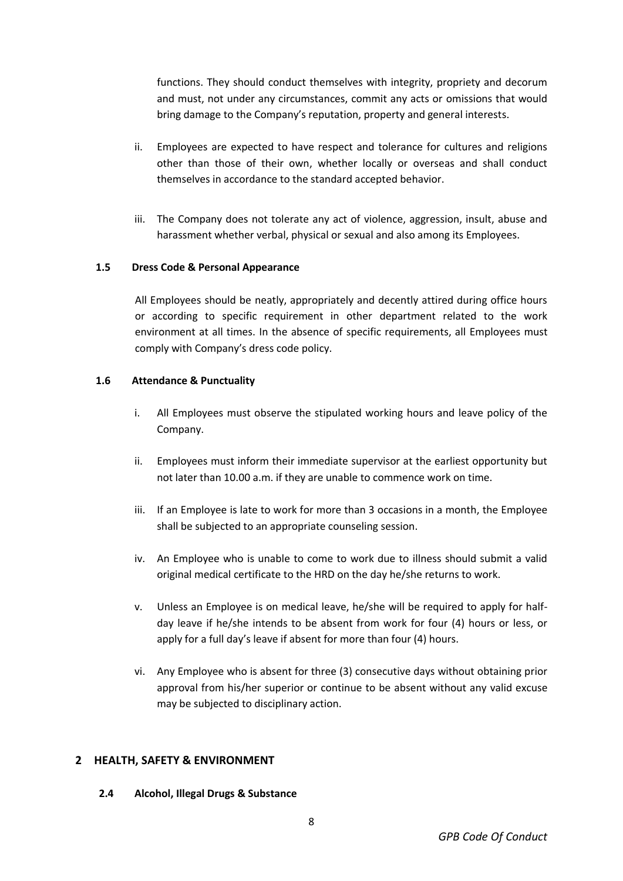functions. They should conduct themselves with integrity, propriety and decorum and must, not under any circumstances, commit any acts or omissions that would bring damage to the Company's reputation, property and general interests.

- ii. Employees are expected to have respect and tolerance for cultures and religions other than those of their own, whether locally or overseas and shall conduct themselves in accordance to the standard accepted behavior.
- iii. The Company does not tolerate any act of violence, aggression, insult, abuse and harassment whether verbal, physical or sexual and also among its Employees.

### **1.5 Dress Code & Personal Appearance**

All Employees should be neatly, appropriately and decently attired during office hours or according to specific requirement in other department related to the work environment at all times. In the absence of specific requirements, all Employees must comply with Company's dress code policy.

#### **1.6 Attendance & Punctuality**

- i. All Employees must observe the stipulated working hours and leave policy of the Company.
- ii. Employees must inform their immediate supervisor at the earliest opportunity but not later than 10.00 a.m. if they are unable to commence work on time.
- iii. If an Employee is late to work for more than 3 occasions in a month, the Employee shall be subjected to an appropriate counseling session.
- iv. An Employee who is unable to come to work due to illness should submit a valid original medical certificate to the HRD on the day he/she returns to work.
- v. Unless an Employee is on medical leave, he/she will be required to apply for halfday leave if he/she intends to be absent from work for four (4) hours or less, or apply for a full day's leave if absent for more than four (4) hours.
- vi. Any Employee who is absent for three (3) consecutive days without obtaining prior approval from his/her superior or continue to be absent without any valid excuse may be subjected to disciplinary action.

## **2 HEALTH, SAFETY & ENVIRONMENT**

**2.4 Alcohol, Illegal Drugs & Substance**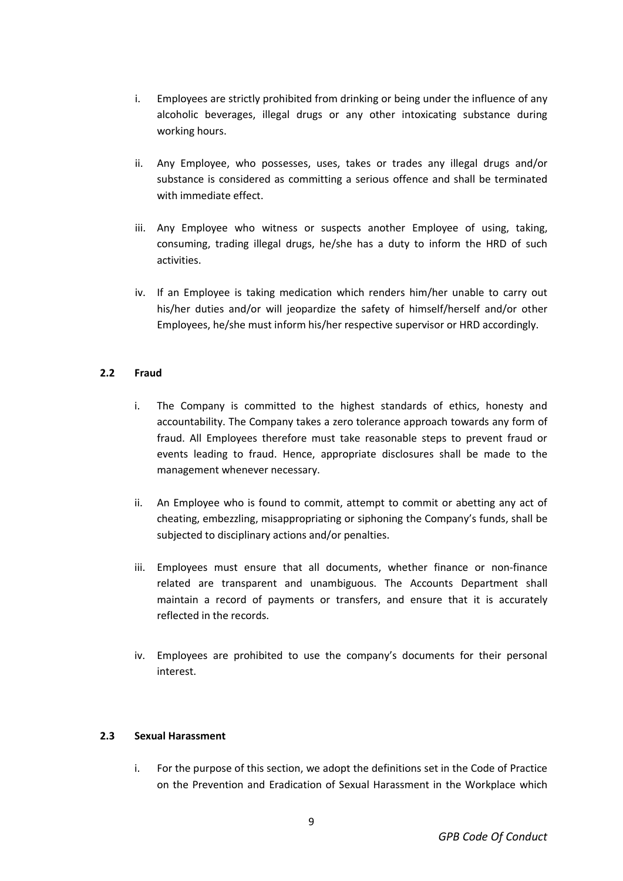- i. Employees are strictly prohibited from drinking or being under the influence of any alcoholic beverages, illegal drugs or any other intoxicating substance during working hours.
- ii. Any Employee, who possesses, uses, takes or trades any illegal drugs and/or substance is considered as committing a serious offence and shall be terminated with immediate effect.
- iii. Any Employee who witness or suspects another Employee of using, taking, consuming, trading illegal drugs, he/she has a duty to inform the HRD of such activities.
- iv. If an Employee is taking medication which renders him/her unable to carry out his/her duties and/or will jeopardize the safety of himself/herself and/or other Employees, he/she must inform his/her respective supervisor or HRD accordingly.

## **2.2 Fraud**

- i. The Company is committed to the highest standards of ethics, honesty and accountability. The Company takes a zero tolerance approach towards any form of fraud. All Employees therefore must take reasonable steps to prevent fraud or events leading to fraud. Hence, appropriate disclosures shall be made to the management whenever necessary.
- ii. An Employee who is found to commit, attempt to commit or abetting any act of cheating, embezzling, misappropriating or siphoning the Company's funds, shall be subjected to disciplinary actions and/or penalties.
- iii. Employees must ensure that all documents, whether finance or non-finance related are transparent and unambiguous. The Accounts Department shall maintain a record of payments or transfers, and ensure that it is accurately reflected in the records.
- iv. Employees are prohibited to use the company's documents for their personal interest.

### **2.3 Sexual Harassment**

i. For the purpose of this section, we adopt the definitions set in the Code of Practice on the Prevention and Eradication of Sexual Harassment in the Workplace which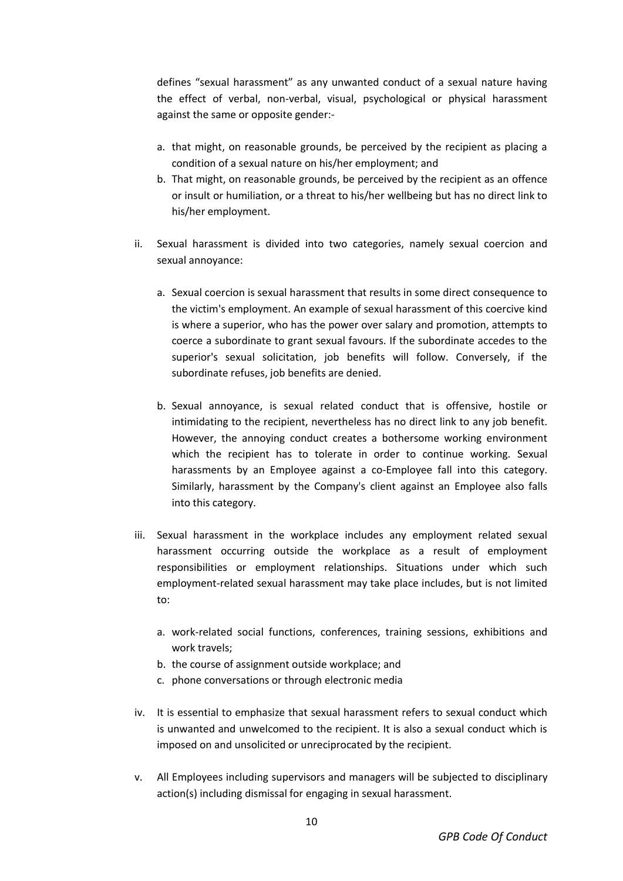defines "sexual harassment" as any unwanted conduct of a sexual nature having the effect of verbal, non-verbal, visual, psychological or physical harassment against the same or opposite gender:-

- a. that might, on reasonable grounds, be perceived by the recipient as placing a condition of a sexual nature on his/her employment; and
- b. That might, on reasonable grounds, be perceived by the recipient as an offence or insult or humiliation, or a threat to his/her wellbeing but has no direct link to his/her employment.
- ii. Sexual harassment is divided into two categories, namely sexual coercion and sexual annoyance:
	- a. Sexual coercion is sexual harassment that results in some direct consequence to the victim's employment. An example of sexual harassment of this coercive kind is where a superior, who has the power over salary and promotion, attempts to coerce a subordinate to grant sexual favours. If the subordinate accedes to the superior's sexual solicitation, job benefits will follow. Conversely, if the subordinate refuses, job benefits are denied.
	- b. Sexual annoyance, is sexual related conduct that is offensive, hostile or intimidating to the recipient, nevertheless has no direct link to any job benefit. However, the annoying conduct creates a bothersome working environment which the recipient has to tolerate in order to continue working. Sexual harassments by an Employee against a co-Employee fall into this category. Similarly, harassment by the Company's client against an Employee also falls into this category.
- iii. Sexual harassment in the workplace includes any employment related sexual harassment occurring outside the workplace as a result of employment responsibilities or employment relationships. Situations under which such employment-related sexual harassment may take place includes, but is not limited to:
	- a. work-related social functions, conferences, training sessions, exhibitions and work travels;
	- b. the course of assignment outside workplace; and
	- c. phone conversations or through electronic media
- iv. It is essential to emphasize that sexual harassment refers to sexual conduct which is unwanted and unwelcomed to the recipient. It is also a sexual conduct which is imposed on and unsolicited or unreciprocated by the recipient.
- v. All Employees including supervisors and managers will be subjected to disciplinary action(s) including dismissal for engaging in sexual harassment.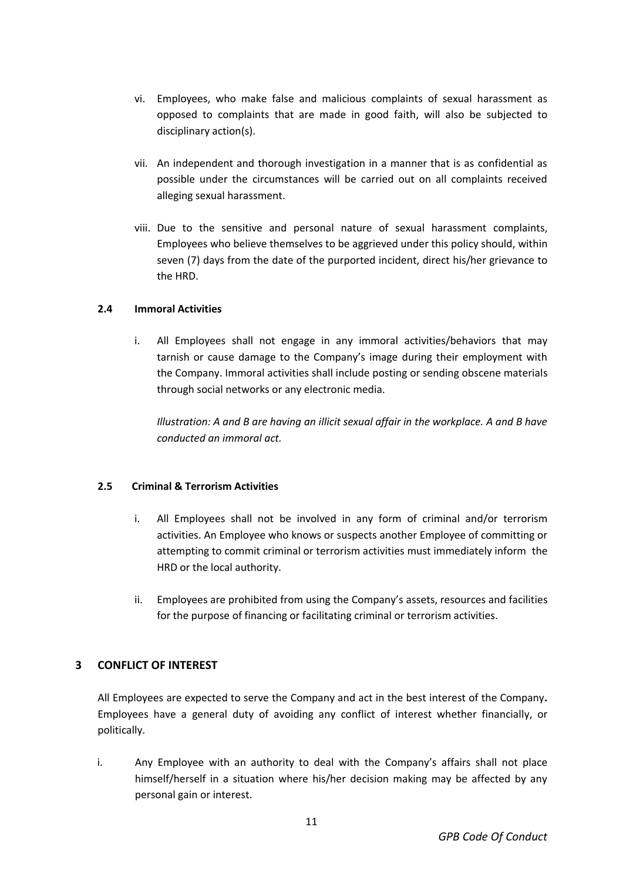- vi. Employees, who make false and malicious complaints of sexual harassment as opposed to complaints that are made in good faith, will also be subjected to disciplinary action(s).
- vii. An independent and thorough investigation in a manner that is as confidential as possible under the circumstances will be carried out on all complaints received alleging sexual harassment.
- viii. Due to the sensitive and personal nature of sexual harassment complaints, Employees who believe themselves to be aggrieved under this policy should, within seven (7) days from the date of the purported incident, direct his/her grievance to the HRD.

## **2.4 Immoral Activities**

i. All Employees shall not engage in any immoral activities/behaviors that may tarnish or cause damage to the Company's image during their employment with the Company. Immoral activities shall include posting or sending obscene materials through social networks or any electronic media.

*Illustration: A and B are having an illicit sexual affair in the workplace. A and B have conducted an immoral act.*

### **2.5 Criminal & Terrorism Activities**

- i. All Employees shall not be involved in any form of criminal and/or terrorism activities. An Employee who knows or suspects another Employee of committing or attempting to commit criminal or terrorism activities must immediately inform the HRD or the local authority.
- ii. Employees are prohibited from using the Company's assets, resources and facilities for the purpose of financing or facilitating criminal or terrorism activities.

## **3 CONFLICT OF INTEREST**

All Employees are expected to serve the Company and act in the best interest of the Company**.**  Employees have a general duty of avoiding any conflict of interest whether financially, or politically.

i. Any Employee with an authority to deal with the Company's affairs shall not place himself/herself in a situation where his/her decision making may be affected by any personal gain or interest.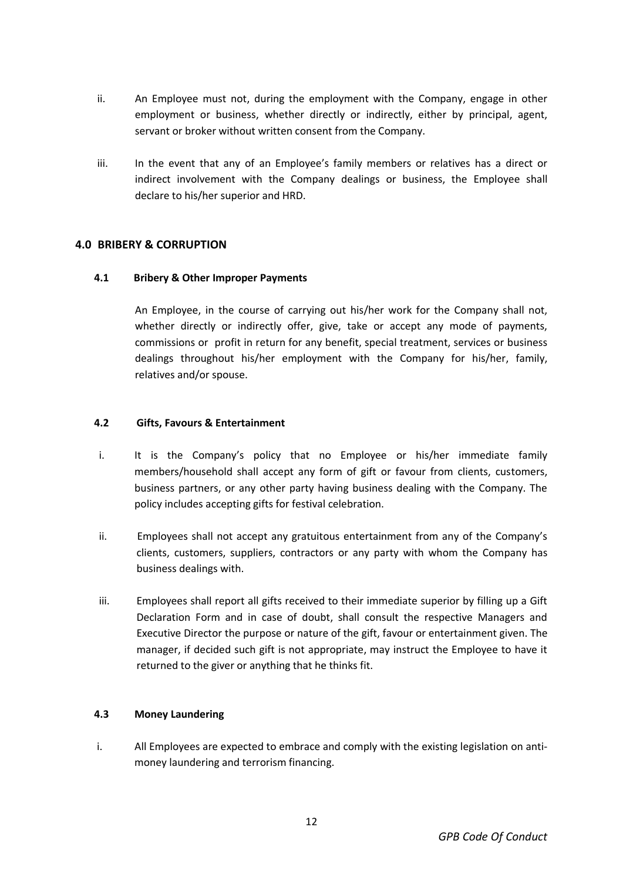- ii. An Employee must not, during the employment with the Company, engage in other employment or business, whether directly or indirectly, either by principal, agent, servant or broker without written consent from the Company.
- iii. In the event that any of an Employee's family members or relatives has a direct or indirect involvement with the Company dealings or business, the Employee shall declare to his/her superior and HRD.

## **4.0 BRIBERY & CORRUPTION**

## **4.1 Bribery & Other Improper Payments**

An Employee, in the course of carrying out his/her work for the Company shall not, whether directly or indirectly offer, give, take or accept any mode of payments, commissions or profit in return for any benefit, special treatment, services or business dealings throughout his/her employment with the Company for his/her, family, relatives and/or spouse.

## **4.2 Gifts, Favours & Entertainment**

- i. It is the Company's policy that no Employee or his/her immediate family members/household shall accept any form of gift or favour from clients, customers, business partners, or any other party having business dealing with the Company. The policy includes accepting gifts for festival celebration.
- ii. Employees shall not accept any gratuitous entertainment from any of the Company's clients, customers, suppliers, contractors or any party with whom the Company has business dealings with.
- iii. Employees shall report all gifts received to their immediate superior by filling up a Gift Declaration Form and in case of doubt, shall consult the respective Managers and Executive Director the purpose or nature of the gift, favour or entertainment given. The manager, if decided such gift is not appropriate, may instruct the Employee to have it returned to the giver or anything that he thinks fit.

## **4.3 Money Laundering**

i. All Employees are expected to embrace and comply with the existing legislation on antimoney laundering and terrorism financing.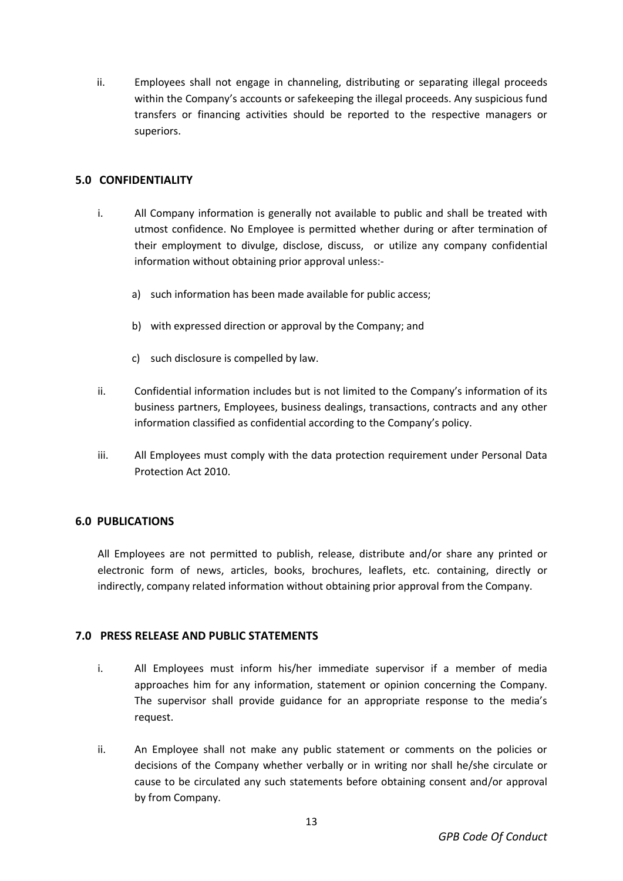ii. Employees shall not engage in channeling, distributing or separating illegal proceeds within the Company's accounts or safekeeping the illegal proceeds. Any suspicious fund transfers or financing activities should be reported to the respective managers or superiors.

## **5.0 CONFIDENTIALITY**

- i. All Company information is generally not available to public and shall be treated with utmost confidence. No Employee is permitted whether during or after termination of their employment to divulge, disclose, discuss, or utilize any company confidential information without obtaining prior approval unless:
	- a) such information has been made available for public access;
	- b) with expressed direction or approval by the Company; and
	- c) such disclosure is compelled by law.
- ii. Confidential information includes but is not limited to the Company's information of its business partners, Employees, business dealings, transactions, contracts and any other information classified as confidential according to the Company's policy.
- iii. All Employees must comply with the data protection requirement under Personal Data Protection Act 2010.

## **6.0 PUBLICATIONS**

All Employees are not permitted to publish, release, distribute and/or share any printed or electronic form of news, articles, books, brochures, leaflets, etc. containing, directly or indirectly, company related information without obtaining prior approval from the Company.

## **7.0 PRESS RELEASE AND PUBLIC STATEMENTS**

- i. All Employees must inform his/her immediate supervisor if a member of media approaches him for any information, statement or opinion concerning the Company. The supervisor shall provide guidance for an appropriate response to the media's request.
- ii. An Employee shall not make any public statement or comments on the policies or decisions of the Company whether verbally or in writing nor shall he/she circulate or cause to be circulated any such statements before obtaining consent and/or approval by from Company.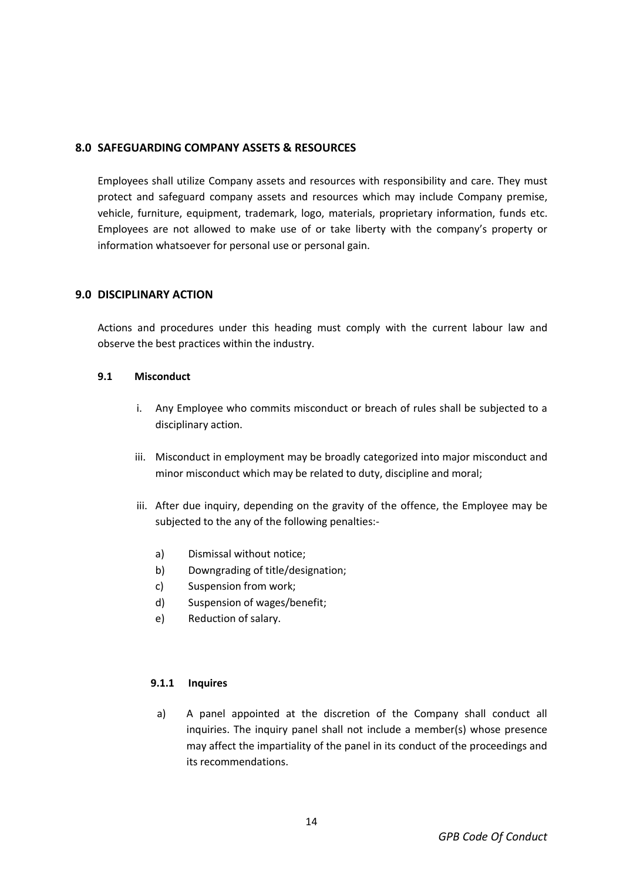## **8.0 SAFEGUARDING COMPANY ASSETS & RESOURCES**

Employees shall utilize Company assets and resources with responsibility and care. They must protect and safeguard company assets and resources which may include Company premise, vehicle, furniture, equipment, trademark, logo, materials, proprietary information, funds etc. Employees are not allowed to make use of or take liberty with the company's property or information whatsoever for personal use or personal gain.

## **9.0 DISCIPLINARY ACTION**

Actions and procedures under this heading must comply with the current labour law and observe the best practices within the industry.

#### **9.1 Misconduct**

- i. Any Employee who commits misconduct or breach of rules shall be subjected to a disciplinary action.
- iii. Misconduct in employment may be broadly categorized into major misconduct and minor misconduct which may be related to duty, discipline and moral;
- iii. After due inquiry, depending on the gravity of the offence, the Employee may be subjected to the any of the following penalties:
	- a) Dismissal without notice;
	- b) Downgrading of title/designation;
	- c) Suspension from work;
	- d) Suspension of wages/benefit;
	- e) Reduction of salary.

### **9.1.1 Inquires**

a) A panel appointed at the discretion of the Company shall conduct all inquiries. The inquiry panel shall not include a member(s) whose presence may affect the impartiality of the panel in its conduct of the proceedings and its recommendations.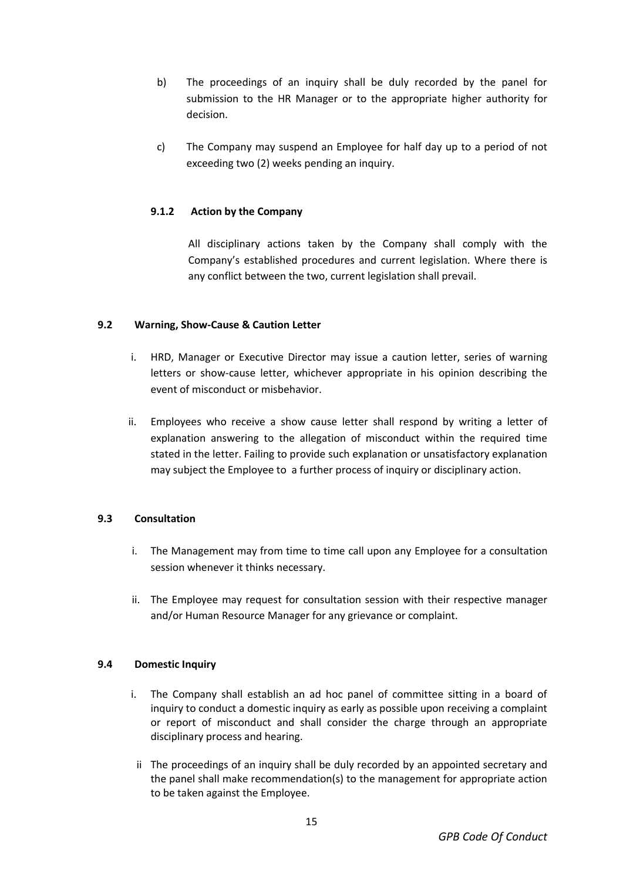- b) The proceedings of an inquiry shall be duly recorded by the panel for submission to the HR Manager or to the appropriate higher authority for decision.
- c) The Company may suspend an Employee for half day up to a period of not exceeding two (2) weeks pending an inquiry.

## **9.1.2 Action by the Company**

All disciplinary actions taken by the Company shall comply with the Company's established procedures and current legislation. Where there is any conflict between the two, current legislation shall prevail.

## **9.2 Warning, Show-Cause & Caution Letter**

- i. HRD, Manager or Executive Director may issue a caution letter, series of warning letters or show-cause letter, whichever appropriate in his opinion describing the event of misconduct or misbehavior.
- ii. Employees who receive a show cause letter shall respond by writing a letter of explanation answering to the allegation of misconduct within the required time stated in the letter. Failing to provide such explanation or unsatisfactory explanation may subject the Employee to a further process of inquiry or disciplinary action.

## **9.3 Consultation**

- i. The Management may from time to time call upon any Employee for a consultation session whenever it thinks necessary.
- ii. The Employee may request for consultation session with their respective manager and/or Human Resource Manager for any grievance or complaint.

## **9.4 Domestic Inquiry**

- i. The Company shall establish an ad hoc panel of committee sitting in a board of inquiry to conduct a domestic inquiry as early as possible upon receiving a complaint or report of misconduct and shall consider the charge through an appropriate disciplinary process and hearing.
- ii The proceedings of an inquiry shall be duly recorded by an appointed secretary and the panel shall make recommendation(s) to the management for appropriate action to be taken against the Employee.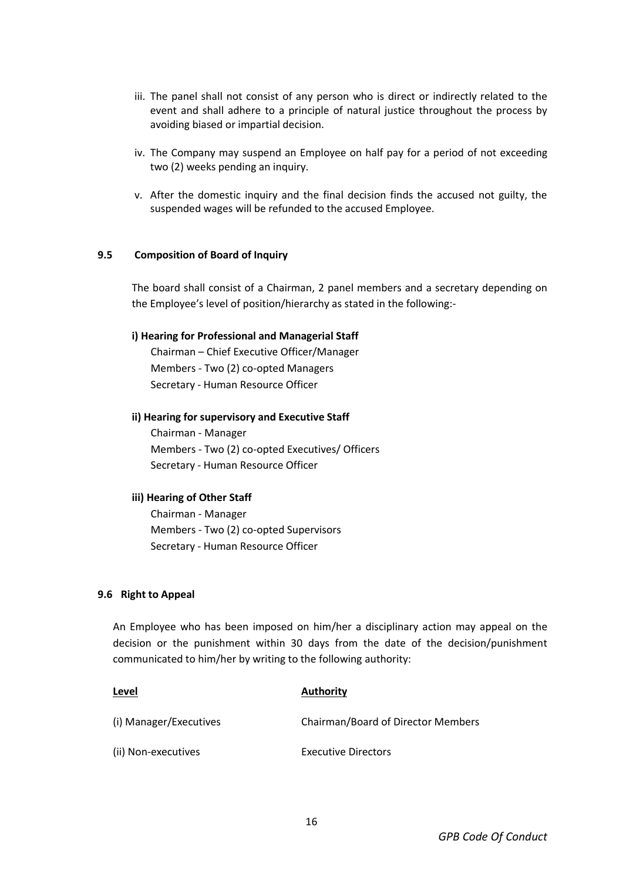- iii. The panel shall not consist of any person who is direct or indirectly related to the event and shall adhere to a principle of natural justice throughout the process by avoiding biased or impartial decision.
- iv. The Company may suspend an Employee on half pay for a period of not exceeding two (2) weeks pending an inquiry.
- v. After the domestic inquiry and the final decision finds the accused not guilty, the suspended wages will be refunded to the accused Employee.

#### **9.5 Composition of Board of Inquiry**

The board shall consist of a Chairman, 2 panel members and a secretary depending on the Employee's level of position/hierarchy as stated in the following:-

#### **i) Hearing for Professional and Managerial Staff**

Chairman – Chief Executive Officer/Manager Members - Two (2) co-opted Managers Secretary - Human Resource Officer

#### **ii) Hearing for supervisory and Executive Staff**

Chairman - Manager Members - Two (2) co-opted Executives/ Officers Secretary - Human Resource Officer

#### **iii) Hearing of Other Staff**

Chairman - Manager Members - Two (2) co-opted Supervisors Secretary - Human Resource Officer

#### **9.6 Right to Appeal**

An Employee who has been imposed on him/her a disciplinary action may appeal on the decision or the punishment within 30 days from the date of the decision/punishment communicated to him/her by writing to the following authority:

| Level                  | <b>Authority</b>                   |
|------------------------|------------------------------------|
| (i) Manager/Executives | Chairman/Board of Director Members |
| (ii) Non-executives    | <b>Executive Directors</b>         |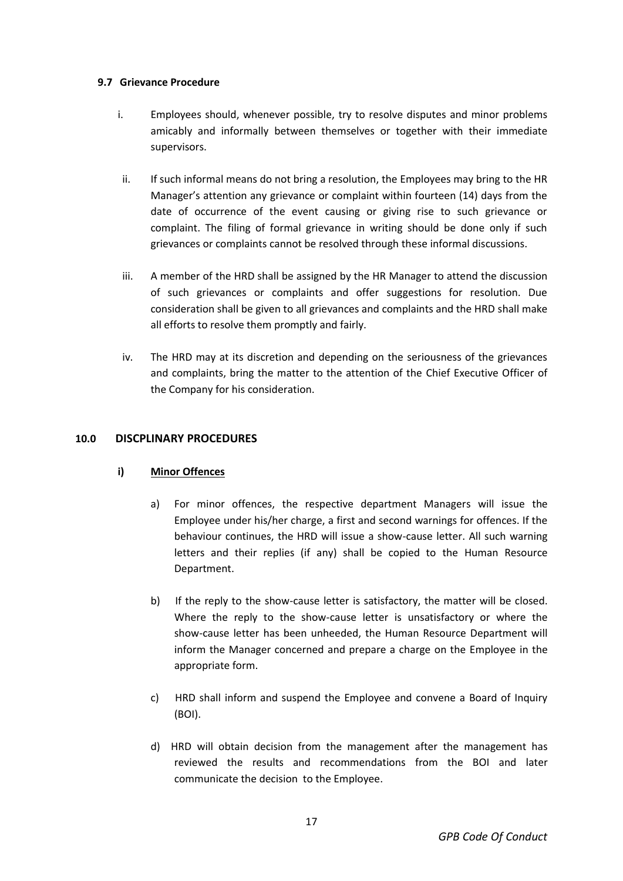### **9.7 Grievance Procedure**

- i. Employees should, whenever possible, try to resolve disputes and minor problems amicably and informally between themselves or together with their immediate supervisors.
- ii. If such informal means do not bring a resolution, the Employees may bring to the HR Manager's attention any grievance or complaint within fourteen (14) days from the date of occurrence of the event causing or giving rise to such grievance or complaint. The filing of formal grievance in writing should be done only if such grievances or complaints cannot be resolved through these informal discussions.
- iii. A member of the HRD shall be assigned by the HR Manager to attend the discussion of such grievances or complaints and offer suggestions for resolution. Due consideration shall be given to all grievances and complaints and the HRD shall make all efforts to resolve them promptly and fairly.
- iv. The HRD may at its discretion and depending on the seriousness of the grievances and complaints, bring the matter to the attention of the Chief Executive Officer of the Company for his consideration.

## **10.0 DISCPLINARY PROCEDURES**

## **i) Minor Offences**

- a) For minor offences, the respective department Managers will issue the Employee under his/her charge, a first and second warnings for offences. If the behaviour continues, the HRD will issue a show-cause letter. All such warning letters and their replies (if any) shall be copied to the Human Resource Department.
- b) If the reply to the show-cause letter is satisfactory, the matter will be closed. Where the reply to the show-cause letter is unsatisfactory or where the show-cause letter has been unheeded, the Human Resource Department will inform the Manager concerned and prepare a charge on the Employee in the appropriate form.
- c) HRD shall inform and suspend the Employee and convene a Board of Inquiry (BOI).
- d) HRD will obtain decision from the management after the management has reviewed the results and recommendations from the BOI and later communicate the decision to the Employee.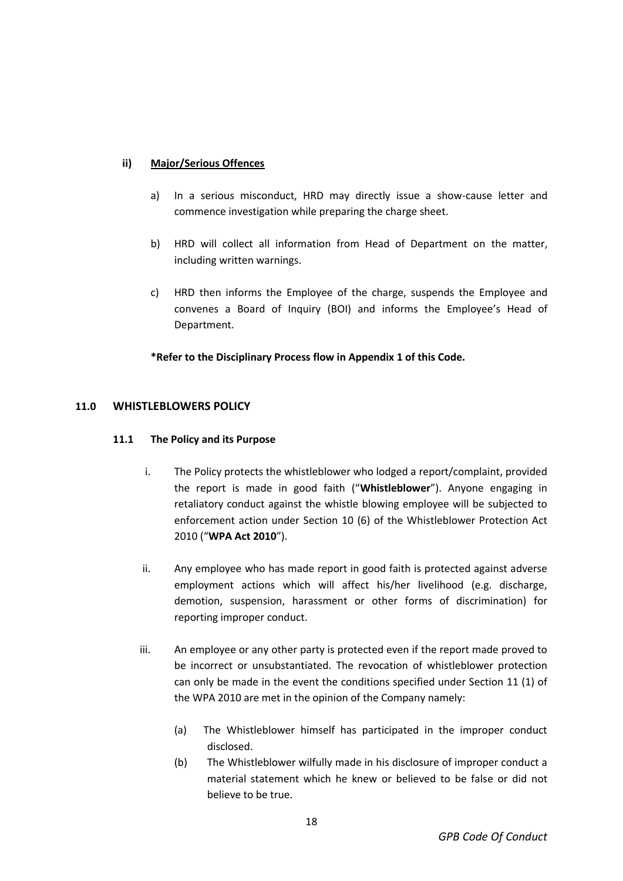## **ii) Major/Serious Offences**

- a) In a serious misconduct, HRD may directly issue a show-cause letter and commence investigation while preparing the charge sheet.
- b) HRD will collect all information from Head of Department on the matter, including written warnings.
- c) HRD then informs the Employee of the charge, suspends the Employee and convenes a Board of Inquiry (BOI) and informs the Employee's Head of Department.

## **\*Refer to the Disciplinary Process flow in Appendix 1 of this Code.**

## **11.0 WHISTLEBLOWERS POLICY**

## **11.1 The Policy and its Purpose**

- i. The Policy protects the whistleblower who lodged a report/complaint, provided the report is made in good faith ("**Whistleblower**"). Anyone engaging in retaliatory conduct against the whistle blowing employee will be subjected to enforcement action under Section 10 (6) of the Whistleblower Protection Act 2010 ("**WPA Act 2010**").
- ii. Any employee who has made report in good faith is protected against adverse employment actions which will affect his/her livelihood (e.g. discharge, demotion, suspension, harassment or other forms of discrimination) for reporting improper conduct.
- iii. An employee or any other party is protected even if the report made proved to be incorrect or unsubstantiated. The revocation of whistleblower protection can only be made in the event the conditions specified under Section 11 (1) of the WPA 2010 are met in the opinion of the Company namely:
	- (a) The Whistleblower himself has participated in the improper conduct disclosed.
	- (b) The Whistleblower wilfully made in his disclosure of improper conduct a material statement which he knew or believed to be false or did not believe to be true.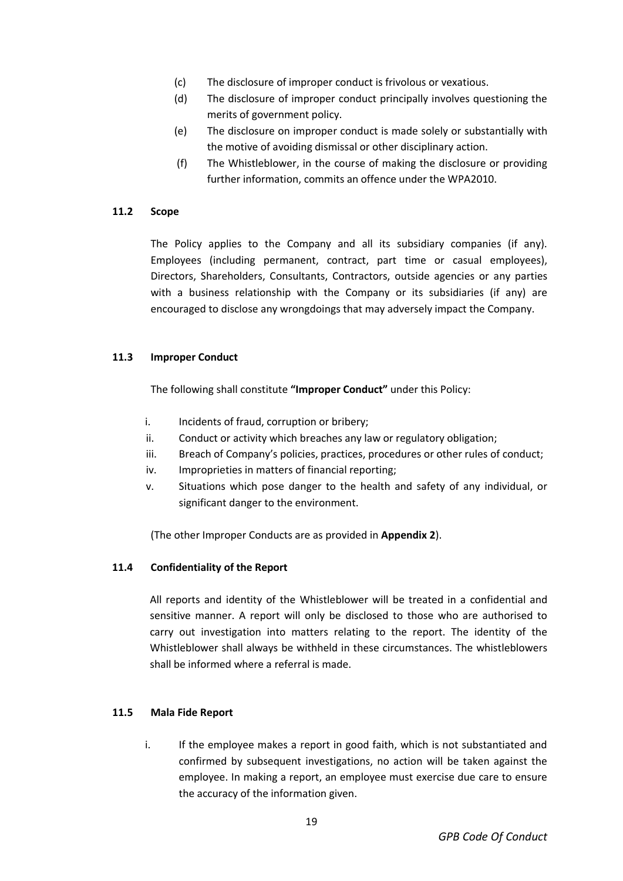- (c) The disclosure of improper conduct is frivolous or vexatious.
- (d) The disclosure of improper conduct principally involves questioning the merits of government policy.
- (e) The disclosure on improper conduct is made solely or substantially with the motive of avoiding dismissal or other disciplinary action.
- (f) The Whistleblower, in the course of making the disclosure or providing further information, commits an offence under the WPA2010.

#### **11.2 Scope**

The Policy applies to the Company and all its subsidiary companies (if any). Employees (including permanent, contract, part time or casual employees), Directors, Shareholders, Consultants, Contractors, outside agencies or any parties with a business relationship with the Company or its subsidiaries (if any) are encouraged to disclose any wrongdoings that may adversely impact the Company.

#### **11.3 Improper Conduct**

The following shall constitute **"Improper Conduct"** under this Policy:

- i. Incidents of fraud, corruption or bribery;
- ii. Conduct or activity which breaches any law or regulatory obligation;
- iii. Breach of Company's policies, practices, procedures or other rules of conduct;
- iv. Improprieties in matters of financial reporting;
- v. Situations which pose danger to the health and safety of any individual, or significant danger to the environment.

(The other Improper Conducts are as provided in **Appendix 2**).

#### **11.4 Confidentiality of the Report**

All reports and identity of the Whistleblower will be treated in a confidential and sensitive manner. A report will only be disclosed to those who are authorised to carry out investigation into matters relating to the report. The identity of the Whistleblower shall always be withheld in these circumstances. The whistleblowers shall be informed where a referral is made.

#### **11.5 Mala Fide Report**

i. If the employee makes a report in good faith, which is not substantiated and confirmed by subsequent investigations, no action will be taken against the employee. In making a report, an employee must exercise due care to ensure the accuracy of the information given.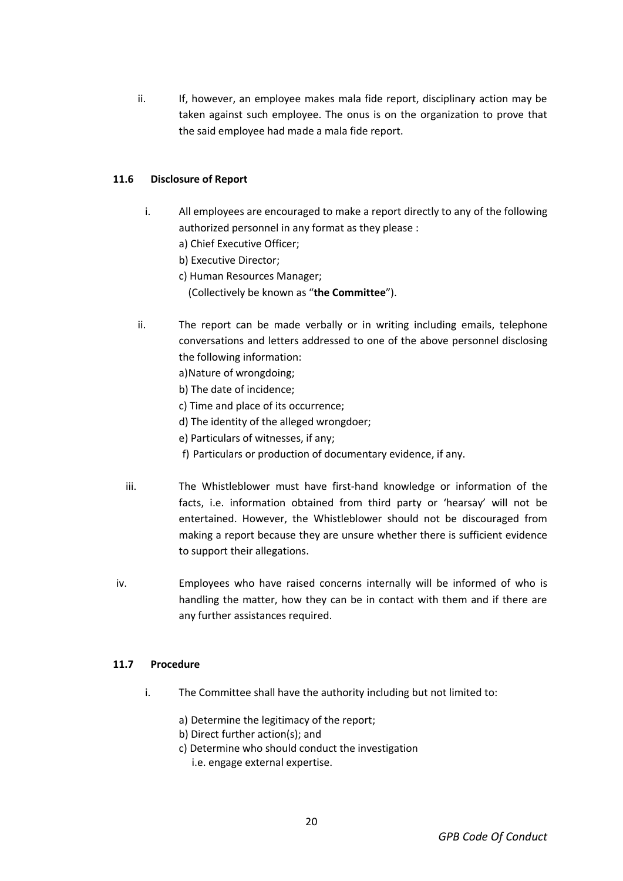ii. If, however, an employee makes mala fide report, disciplinary action may be taken against such employee. The onus is on the organization to prove that the said employee had made a mala fide report.

## **11.6 Disclosure of Report**

- i. All employees are encouraged to make a report directly to any of the following authorized personnel in any format as they please :
	- a) Chief Executive Officer;
	- b) Executive Director;
	- c) Human Resources Manager;
		- (Collectively be known as "**the Committee**").
- ii. The report can be made verbally or in writing including emails, telephone conversations and letters addressed to one of the above personnel disclosing the following information:
	- a)Nature of wrongdoing;
	- b) The date of incidence;
	- c) Time and place of its occurrence;
	- d) The identity of the alleged wrongdoer;
	- e) Particulars of witnesses, if any;
	- f) Particulars or production of documentary evidence, if any.
- iii. The Whistleblower must have first-hand knowledge or information of the facts, i.e. information obtained from third party or 'hearsay' will not be entertained. However, the Whistleblower should not be discouraged from making a report because they are unsure whether there is sufficient evidence to support their allegations.
- iv. Employees who have raised concerns internally will be informed of who is handling the matter, how they can be in contact with them and if there are any further assistances required.

### **11.7 Procedure**

- i. The Committee shall have the authority including but not limited to:
	- a) Determine the legitimacy of the report;
	- b) Direct further action(s); and
	- c) Determine who should conduct the investigation i.e. engage external expertise.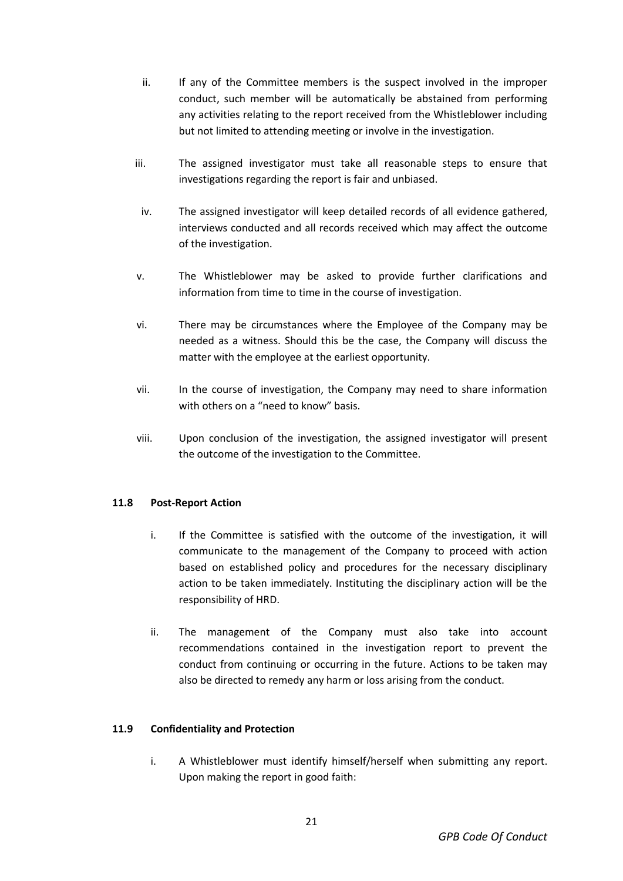- ii. If any of the Committee members is the suspect involved in the improper conduct, such member will be automatically be abstained from performing any activities relating to the report received from the Whistleblower including but not limited to attending meeting or involve in the investigation.
- iii. The assigned investigator must take all reasonable steps to ensure that investigations regarding the report is fair and unbiased.
- iv. The assigned investigator will keep detailed records of all evidence gathered, interviews conducted and all records received which may affect the outcome of the investigation.
- v. The Whistleblower may be asked to provide further clarifications and information from time to time in the course of investigation.
- vi. There may be circumstances where the Employee of the Company may be needed as a witness. Should this be the case, the Company will discuss the matter with the employee at the earliest opportunity.
- vii. In the course of investigation, the Company may need to share information with others on a "need to know" basis.
- viii. Upon conclusion of the investigation, the assigned investigator will present the outcome of the investigation to the Committee.

## **11.8 Post-Report Action**

- i. If the Committee is satisfied with the outcome of the investigation, it will communicate to the management of the Company to proceed with action based on established policy and procedures for the necessary disciplinary action to be taken immediately. Instituting the disciplinary action will be the responsibility of HRD.
- ii. The management of the Company must also take into account recommendations contained in the investigation report to prevent the conduct from continuing or occurring in the future. Actions to be taken may also be directed to remedy any harm or loss arising from the conduct.

## **11.9 Confidentiality and Protection**

i. A Whistleblower must identify himself/herself when submitting any report. Upon making the report in good faith: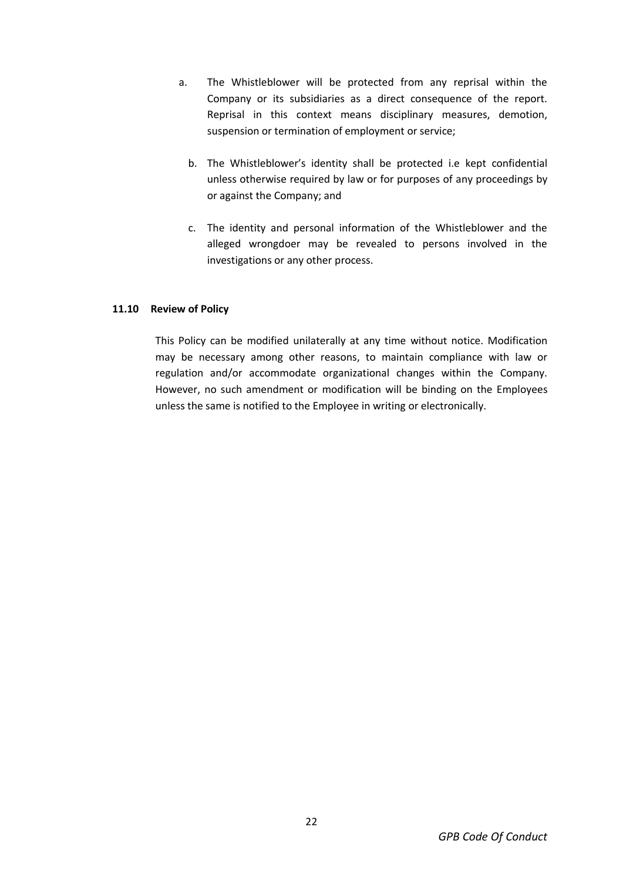- a. The Whistleblower will be protected from any reprisal within the Company or its subsidiaries as a direct consequence of the report. Reprisal in this context means disciplinary measures, demotion, suspension or termination of employment or service;
	- b. The Whistleblower's identity shall be protected i.e kept confidential unless otherwise required by law or for purposes of any proceedings by or against the Company; and
	- c. The identity and personal information of the Whistleblower and the alleged wrongdoer may be revealed to persons involved in the investigations or any other process.

### **11.10 Review of Policy**

This Policy can be modified unilaterally at any time without notice. Modification may be necessary among other reasons, to maintain compliance with law or regulation and/or accommodate organizational changes within the Company. However, no such amendment or modification will be binding on the Employees unless the same is notified to the Employee in writing or electronically.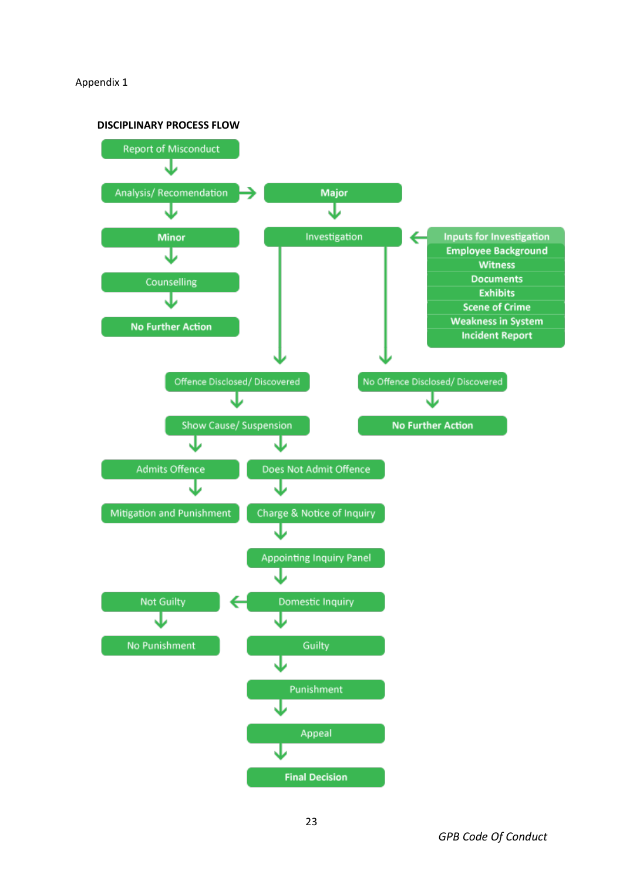#### Appendix 1